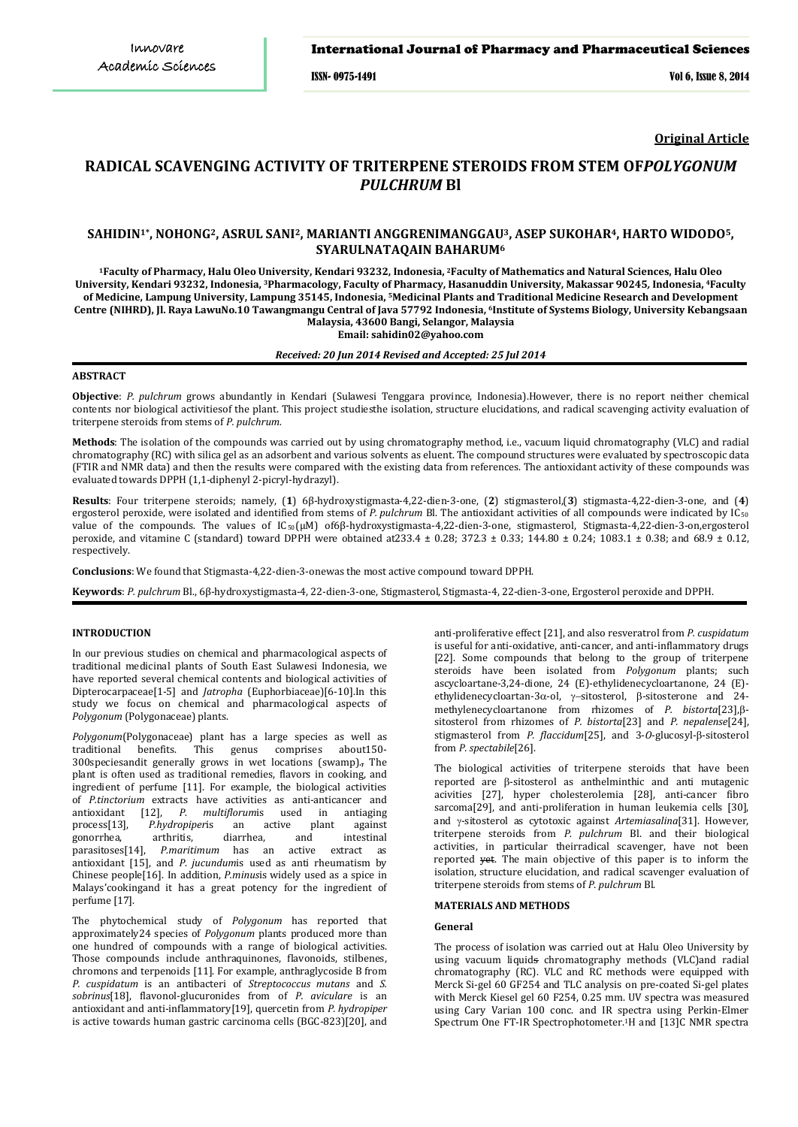### International Journal of Pharmacy and Pharmaceutical Sciences

ISSN- 0975-1491 Vol 6, Issue 8, 2014

# **Original Article**

# **RADICAL SCAVENGING ACTIVITY OF TRITERPENE STEROIDS FROM STEM OF***POLYGONUM PULCHRUM* **Bl**

# **SAHIDIN1\*, NOHONG2, ASRUL SANI2, MARIANTI ANGGRENIMANGGAU3, ASEP SUKOHAR4, HARTO WIDODO5, SYARULNATAQAIN BAHARUM6**

**1Faculty of Pharmacy, Halu Oleo University, Kendari 93232, Indonesia, 2Faculty of Mathematics and Natural Sciences, Halu Oleo University, Kendari 93232, Indonesia, 3Pharmacology, Faculty of Pharmacy, Hasanuddin University, Makassar 90245***,* **Indonesia, 4Faculty of Medicine, Lampung University, Lampung 35145, Indonesia, 5Medicinal Plants and Traditional Medicine Research and Development Centre (NIHRD), Jl. Raya LawuNo.10 Tawangmangu Central of Java 57792 Indonesia, 6 Institute of Systems Biology, University Kebangsaan Malaysia, 43600 Bangi, Selangor, Malaysia**

**Email: sahidin02@yahoo.com**

#### *Received: 20 Jun 2014 Revised and Accepted: 25 Jul 2014*

# **ABSTRACT**

**Objective**: *P. pulchrum* grows abundantly in Kendari (Sulawesi Tenggara province, Indonesia).However, there is no report neither chemical contents nor biological activitiesof the plant. This project studiesthe isolation, structure elucidations, and radical scavenging activity evaluation of triterpene steroids from stems of *P. pulchrum.*

**Methods**: The isolation of the compounds was carried out by using chromatography method, i.e., vacuum liquid chromatography (VLC) and radial chromatography (RC) with silica gel as an adsorbent and various solvents as eluent. The compound structures were evaluated by spectroscopic data (FTIR and NMR data) and then the results were compared with the existing data from references. The antioxidant activity of these compounds was evaluated towards DPPH (1,1-diphenyl 2-picryl-hydrazyl).

**Results**: Four triterpene steroids; namely, (**1**) 6β-hydroxystigmasta-4,22-dien-3-one, (**2**) stigmasterol,(**3**) stigmasta-4,22-dien-3-one, and (**4**) ergosterol peroxide, were isolated and identified from stems of *P. pulchrum* Bl. The antioxidant activities of all compounds were indicated by IC<sub>50</sub> value of the compounds. The values of IC<sub>50</sub>(μM) of6β-hydroxystigmasta-4,22-dien-3-one, stigmasterol, Stigmasta-4,22-dien-3-on,ergosterol peroxide, and vitamine C (standard) toward DPPH were obtained at  $233.4 \pm 0.28$ ;  $372.3 \pm 0.33$ ;  $144.80 \pm 0.24$ ;  $1083.1 \pm 0.38$ ; and  $68.9 \pm 0.12$ , respectively.

**Conclusions**: We found that Stigmasta-4,22-dien-3-onewas the most active compound toward DPPH.

**Keywords**: *P. pulchrum* Bl., 6β-hydroxystigmasta-4, 22-dien-3-one, Stigmasterol, Stigmasta-4, 22-dien-3-one, Ergosterol peroxide and DPPH.

#### **INTRODUCTION**

In our previous studies on chemical and pharmacological aspects of traditional medicinal plants of South East Sulawesi Indonesia, we have reported several chemical contents and biological activities of Dipterocarpaceae[1-5] and *Jatropha* (Euphorbiaceae)[6-10].In this study we focus on chemical and pharmacological aspects of *Polygonum* (Polygonaceae) plants.

*Polygonum*(Polygonaceae) plant has a large species as well as This genus comprises 300speciesandit generally grows in wet locations (swamp)., The plant is often used as traditional remedies, flavors in cooking, and ingredient of perfume [11]. For example, the biological activities of *P.tinctorium* extracts have activities as anti-anticancer and antioxidant [12], *P. multiflorumis* used in antiaging antioxidant [12], *P. multiflorum*is used in antiaging process[13], *P.hydropiperis* an active plant against gonorrhea, arthritis, diarrhea, and intestinal gonorrhea, arthritis, diarrhea, and intestinal<br>parasitoses[14], *P.maritimum* has an active extract as P.maritimum has an active antioxidant [15], and *P. jucundum*is used as anti rheumatism by Chinese people[16]. In addition, *P.minus*is widely used as a spice in Malays'cookingand it has a great potency for the ingredient of perfume [17].

The phytochemical study of *Polygonum* has reported that approximately24 species of *Polygonum* plants produced more than one hundred of compounds with a range of biological activities. Those compounds include anthraquinones, flavonoids, stilbenes, chromons and terpenoids [11]. For example, anthraglycoside B from *P. cuspidatum* is an antibacteri of *Streptococcus mutans* and *S. sobrinus*[18], flavonol-glucuronides from of *P. aviculare* is an antioxidant and anti-inflammatory[19], quercetin from *P. hydropiper* is active towards human gastric carcinoma cells (BGC-823)[20], and

anti-proliferative effect [21], and also resveratrol from *P. cuspidatum* is useful for anti-oxidative, anti-cancer, and anti-inflammatory drugs [22]. Some compounds that belong to the group of triterpene steroids have been isolated from *Polygonum* plants; such ascycloartane-3,24-dione, 24 (E)-ethylidenecycloartanone, 24 (E) ethylidenecycloartan-3α-ol, γ−sitosterol, β-sitosterone and 24 methylenecycloartanone from rhizomes of *P. bistorta*[23],βsitosterol from rhizomes of *P. bistorta*[23] and *P. nepalense*[24], stigmasterol from *P. flaccidum*[25], and 3-*O*-glucosyl-β-sitosterol from *P. spectabile*[26].

The biological activities of triterpene steroids that have been reported are β-sitosterol as anthelminthic and anti mutagenic acivities [27], hyper cholesterolemia [28], anti-cancer fibro sarcoma[29], and anti-proliferation in human leukemia cells [30], and γ-sitosterol as cytotoxic against *Artemiasalina*[31]. However, triterpene steroids from *P. pulchrum* Bl. and their biological activities, in particular theirradical scavenger, have not been reported <del>yet</del>. The main objective of this paper is to inform the isolation, structure elucidation, and radical scavenger evaluation of triterpene steroids from stems of *P. pulchrum* Bl.

### **MATERIALS AND METHODS**

### **General**

The process of isolation was carried out at Halu Oleo University by using vacuum liquids chromatography methods (VLC)and radial chromatography (RC). VLC and RC methods were equipped with Merck Si-gel 60 GF254 and TLC analysis on pre-coated Si-gel plates with Merck Kiesel gel 60 F254, 0.25 mm. UV spectra was measured using Cary Varian 100 conc. and IR spectra using Perkin-Elmer Spectrum One FT-IR Spectrophotometer. 1H and [13]C NMR spectra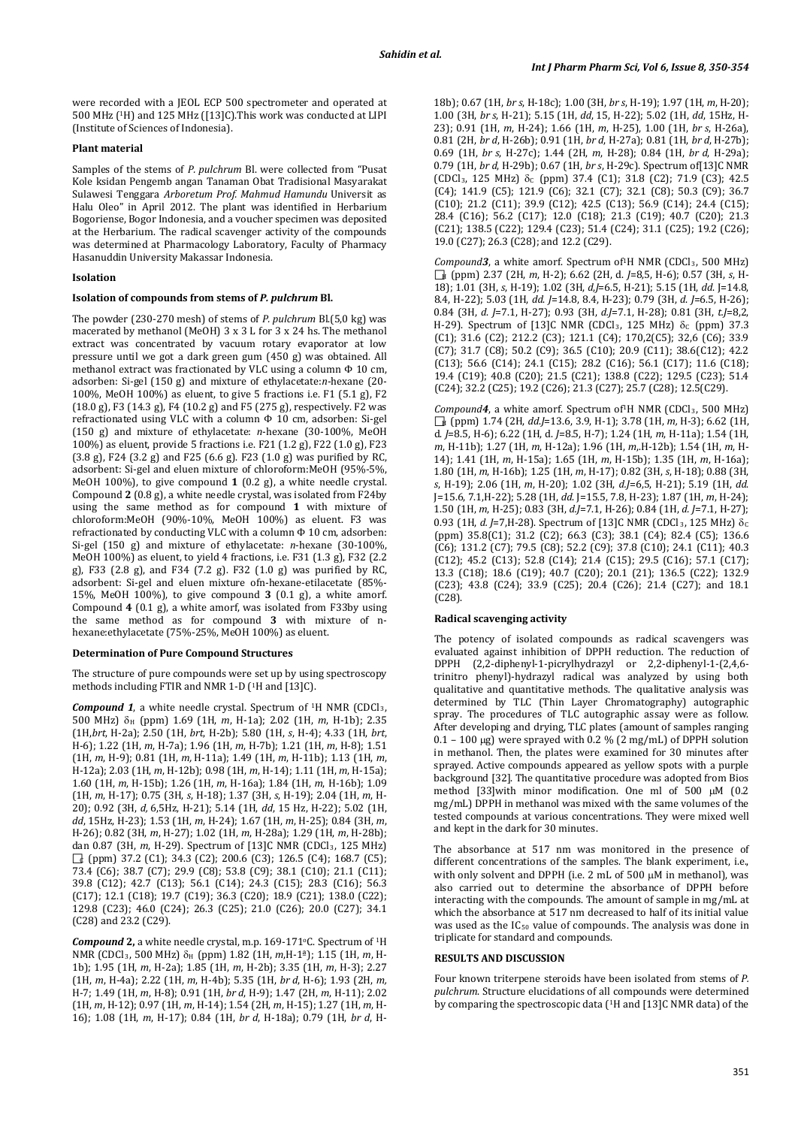were recorded with a JEOL ECP 500 spectrometer and operated at 500 MHz (1 H) and 125 MHz ([13]C).This work was conducted at LIPI (Institute of Sciences of Indonesia).

### **Plant material**

Samples of the stems of *P. pulchrum* Bl. were collected from "Pusat Kole ksidan Pengemb angan Tanaman Obat Tradisional Masyarakat Sulawesi Tenggara *Arboretum Prof. Mahmud Hamundu* Universit as Halu Oleo" in April 2012. The plant was identified in Herbarium Bogoriense, Bogor Indonesia, and a voucher specimen was deposited at the Herbarium. The radical scavenger activity of the compounds was determined at Pharmacology Laboratory, Faculty of Pharmacy Hasanuddin University Makassar Indonesia.

## **Isolation**

#### **Isolation of compounds from stems of** *P. pulchrum* **Bl.**

The powder (230-270 mesh) of stems of *P. pulchrum* Bl.(5,0 kg) was macerated by methanol (MeOH) 3 x 3 L for 3 x 24 hs. The methanol extract was concentrated by vacuum rotary evaporator at low pressure until we got a dark green gum (450 g) was obtained. All methanol extract was fractionated by VLC using a column Φ 10 cm, adsorben: Si-gel (150 g) and mixture of ethylacetate:*n*-hexane (20- 100%, MeOH 100%) as eluent, to give 5 fractions i.e. F1 (5.1 g), F2 (18.0 g), F3 (14.3 g), F4 (10.2 g) and F5 (275 g), respectively. F2 was refractionated using VLC with a column Φ 10 cm, adsorben: Si-gel (150 g) and mixture of ethylacetate: *n*-hexane (30-100%, MeOH 100%) as eluent, provide 5 fractions i.e. F21 (1.2 g), F22 (1.0 g), F23 (3.8 g), F24 (3.2 g) and F25 (6.6 g). F23 (1.0 g) was purified by RC, adsorbent: Si-gel and eluen mixture of chloroform:MeOH (95%-5%, MeOH 100%), to give compound **1** (0.2 g), a white needle crystal. Compound **2** (0.8 g), a white needle crystal, was isolated from F24by using the same method as for compound **1** with mixture of chloroform:MeOH (90%-10%, MeOH 100%) as eluent. F3 was refractionated by conducting VLC with a column Φ 10 cm, adsorben: Si-gel (150 g) and mixture of ethylacetate: *n*-hexane (30-100%, MeOH 100%) as eluent, to yield 4 fractions, i.e. F31 (1.3 g), F32 (2.2 g), F33 (2.8 g), and F34 (7.2 g). F32 (1.0 g) was purified by RC, adsorbent: Si-gel and eluen mixture ofn-hexane-etilacetate (85%- 15%, MeOH 100%), to give compound **3** (0.1 g), a white amorf. Compound **4** (0.1 g), a white amorf, was isolated from F33by using the same method as for compound **3** with mixture of nhexane:ethylacetate (75%-25%, MeOH 100%) as eluent.

#### **Determination of Pure Compound Structures**

The structure of pure compounds were set up by using spectroscopy methods including FTIR and NMR 1-D (1 H and [13]C).

**Compound 1**, a white needle crystal. Spectrum of <sup>1</sup>H NMR (CDCl<sub>3</sub>, 500 MHz) δ<sup>H</sup> (ppm) 1.69 (1H, *m*, H-1a); 2.02 (1H, *m*, H-1b); 2.35 (1H,*brt*, H-2a); 2.50 (1H, *brt*, H-2b); 5.80 (1H, *s*, H-4); 4.33 (1H, *brt*, H-6); 1.22 (1H, *m*, H-7a); 1.96 (1H, *m*, H-7b); 1.21 (1H, *m*, H-8); 1.51 (1H, *m*, H-9); 0.81 (1H, *m,* H-11a); 1.49 (1H, *m*, H-11b); 1.13 (1H, *m*, H-12a); 2.03 (1H, *m*, H-12b); 0.98 (1H, *m*, H-14); 1.11 (1H, *m*, H-15a); 1.60 (1H, *m*, H-15b); 1.26 (1H, *m*, H-16a); 1.84 (1H, *m*, H-16b); 1.09 (1H, *m*, H-17); 0.75 (3H, *s*, H-18); 1.37 (3H, *s*, H-19); 2.04 (1H, *m*, H-20); 0.92 (3H, *d,* 6,5Hz, H-21); 5.14 (1H, *dd*, 15 Hz, H-22); 5.02 (1H, *dd*, 15Hz, H-23); 1.53 (1H, *m*, H-24); 1.67 (1H, *m*, H-25); 0.84 (3H, *m*, H-26); 0.82 (3H, *m*, H-27); 1.02 (1H, *m*, H-28a); 1.29 (1H, *m*, H-28b); dan 0.87 (3H, *m*, H-29). Spectrum of [13]C NMR (CDCl<sub>3</sub>, 125 MHz) C (ppm) 37.2 (C1); 34.3 (C2); 200.6 (C3); 126.5 (C4); 168.7 (C5); 73.4 (C6); 38.7 (C7); 29.9 (C8); 53.8 (C9); 38.1 (C10); 21.1 (C11); 39.8 (C12); 42.7 (C13); 56.1 (C14); 24.3 (C15); 28.3 (C16); 56.3 (C17); 12.1 (C18); 19.7 (C19); 36.3 (C20); 18.9 (C21); 138.0 (C22); 129.8 (C23); 46.0 (C24); 26.3 (C25); 21.0 (C26); 20.0 (C27); 34.1 (C28) and 23.2 (C29).

**Compound 2,** a white needle crystal, m.p. 169-171 °C. Spectrum of <sup>1</sup>H NMR (CDCl3, 500 MHz) δ<sup>H</sup> (ppm) 1.82 (1H, *m*,H-1ª); 1.15 (1H, *m*, H-1b); 1.95 (1H, *m*, H-2a); 1.85 (1H, *m*, H-2b); 3.35 (1H, *m*, H-3); 2.27 (1H, *m*, H-4a); 2.22 (1H, *m*, H-4b); 5.35 (1H, *br d*, H-6); 1.93 (2H, *m,*  H-7; 1.49 (1H, *m*, H-8); 0.91 (1H, *br d*, H-9); 1.47 (2H, *m*, H-11); 2.02 (1H, *m*, H-12); 0.97 (1H, *m*, H-14); 1.54 (2H, *m*, H-15); 1.27 (1H, *m*, H-16); 1.08 (1H, *m*, H-17); 0.84 (1H, *br d*, H-18a); 0.79 (1H, *br d*, H-

18b); 0.67 (1H, *br s*, H-18c); 1.00 (3H, *br s*, H-19); 1.97 (1H, *m*, H-20); 1.00 (3H, *br s*, H-21); 5.15 (1H, *dd*, 15, H-22); 5.02 (1H, *dd*, 15Hz, H-23); 0.91 (1H, *m*, H-24); 1.66 (1H, *m*, H-25), 1.00 (1H, *br s*, H-26a), 0.81 (2H, *br d*, H-26b); 0.91 (1H, *br d*, H-27a); 0.81 (1H, *br d*, H-27b); 0.69 (1H, *br s*, H-27c); 1.44 (2H, *m*, H-28); 0.84 (1H, *br d*, H-29a); 0.79 (1H, *br d*, H-29b); 0.67 (1H, *br s*, H-29c). Spectrum of[13]C NMR  $[CDCl<sub>3</sub>, 125 MHz]$   $\delta_c$  (ppm) 37.4 (C1); 31.8 (C2); 71.9 (C3); 42.5 (C4); 141.9 (C5); 121.9 (C6); 32.1 (C7); 32.1 (C8); 50.3 (C9); 36.7 (C10); 21.2 (C11); 39.9 (C12); 42.5 (C13); 56.9 (C14); 24.4 (C15); 28.4 (C16); 56.2 (C17); 12.0 (C18); 21.3 (C19); 40.7 (C20); 21.3 (C21); 138.5 (C22); 129.4 (C23); 51.4 (C24); 31.1 (C25); 19.2 (C26); 19.0 (C27); 26.3 (C28); and 12.2 (C29).

*Compound3*, a white amorf. Spectrum of 1H NMR (CDCl3, 500 MHz) <sup>H</sup> (ppm) 2.37 (2H, *m*, H-2); 6.62 (2H, d. *J*=8,5, H-6); 0.57 (3H, *s*, H-18); 1.01 (3H, *s*, H-19); 1.02 (3H, *d*,*J*=6.5, H-21); 5.15 (1H, *dd*. J=14.8, 8.4, H-22); 5.03 (1H, *dd*. *J*=14.8, 8.4, H-23); 0.79 (3H, *d*. *J*=6.5, H-26); 0.84 (3H, *d*. *J*=7.1, H-27); 0.93 (3H, *d.J*=7.1, H-28); 0.81 (3H, *t.J*=8,2, H-29). Spectrum of [13]C NMR (CDCl<sub>3</sub>, 125 MHz) δ $c$  (ppm) 37.3 (C1); 31.6 (C2); 212.2 (C3); 121.1 (C4); 170,2(C5); 32,6 (C6); 33.9 (C7); 31.7 (C8); 50.2 (C9); 36.5 (C10); 20.9 (C11); 38.6(C12); 42.2 (C13); 56.6 (C14); 24.1 (C15); 28.2 (C16); 56.1 (C17); 11.6 (C18); 19.4 (C19); 40.8 (C20); 21.5 (C21); 138.8 (C22); 129.5 (C23); 51.4 (C24); 32.2 (C25); 19.2 (C26); 21.3 (C27); 25.7 (C28); 12.5(C29).

*Compound4*, a white amorf. Spectrum of 1H NMR (CDCl3, 500 MHz) <sup>H</sup> (ppm) 1.74 (2H, *dd*.*J*=13.6, 3.9, H-1); 3.78 (1H, *m,* H-3); 6.62 (1H, d. *J*=8.5, H-6); 6.22 (1H, d. *J*=8.5, H-7); 1.24 (1H, *m*, H-11a); 1.54 (1H, *m*, H-11b); 1.27 (1H, *m*, H-12a); 1.96 (1H, *m*,.H-12b); 1.54 (1H, *m*, H-14); 1.41 (1H, *m*, H-15a); 1.65 (1H, *m*, H-15b); 1.35 (1H, *m*, H-16a); 1.80 (1H, *m*, H-16b); 1.25 (1H, *m*, H-17); 0.82 (3H, *s*, H-18); 0.88 (3H, *s*, H-19); 2.06 (1H, *m*, H-20); 1.02 (3H, *d.J*=6,5, H-21); 5.19 (1H, *dd*. J=15.6, 7.1,H-22); 5.28 (1H, *dd*. J=15.5, 7.8, H-23); 1.87 (1H, *m*, H-24); 1.50 (1H, *m*, H-25); 0.83 (3H, *d.J*=7.1, H-26); 0.84 (1H, *d. J*=7.1, H-27); 0.93 (1H, *d. J*=7,H-28). Spectrum of [13]C NMR (CDCl<sub>3</sub>, 125 MHz) δc (ppm) 35.8(C1); 31.2 (C2); 66.3 (C3); 38.1 (C4); 82.4 (C5); 136.6 (C6); 131.2 (C7); 79.5 (C8); 52.2 (C9); 37.8 (C10); 24.1 (C11); 40.3 (C12); 45.2 (C13); 52.8 (C14); 21.4 (C15); 29.5 (C16); 57.1 (C17); 13.3 (C18); 18.6 (C19); 40.7 (C20); 20.1 (21); 136.5 (C22); 132.9 (C23); 43.8 (C24); 33.9 (C25); 20.4 (C26); 21.4 (C27); and 18.1  $(C28)$ 

#### **Radical scavenging activity**

The potency of isolated compounds as radical scavengers was evaluated against inhibition of DPPH reduction. The reduction of DPPH (2,2-diphenyl-1-picrylhydrazyl or 2,2-diphenyl-1-(2,4,6 trinitro phenyl)-hydrazyl radical was analyzed by using both qualitative and quantitative methods. The qualitative analysis was determined by TLC (Thin Layer Chromatography) autographic spray. The procedures of TLC autographic assay were as follow. After developing and drying, TLC plates (amount of samples ranging  $0.1 - 100 \mu$ g) were sprayed with 0.2 % (2 mg/mL) of DPPH solution in methanol. Then, the plates were examined for 30 minutes after sprayed. Active compounds appeared as yellow spots with a purple background [32]. The quantitative procedure was adopted from Bios method [33] with minor modification. One ml of 500 µM (0.2 mg/mL) DPPH in methanol was mixed with the same volumes of the tested compounds at various concentrations. They were mixed well and kept in the dark for 30 minutes.

The absorbance at 517 nm was monitored in the presence of different concentrations of the samples. The blank experiment, i.e., with only solvent and DPPH (i.e. 2 mL of 500 µM in methanol), was also carried out to determine the absorbance of DPPH before interacting with the compounds. The amount of sample in mg/mL at which the absorbance at 517 nm decreased to half of its initial value was used as the IC<sub>50</sub> value of compounds. The analysis was done in triplicate for standard and compounds.

# **RESULTS AND DISCUSSION**

Four known triterpene steroids have been isolated from stems of *P. pulchrum*. Structure elucidations of all compounds were determined by comparing the spectroscopic data (1H and [13]C NMR data) of the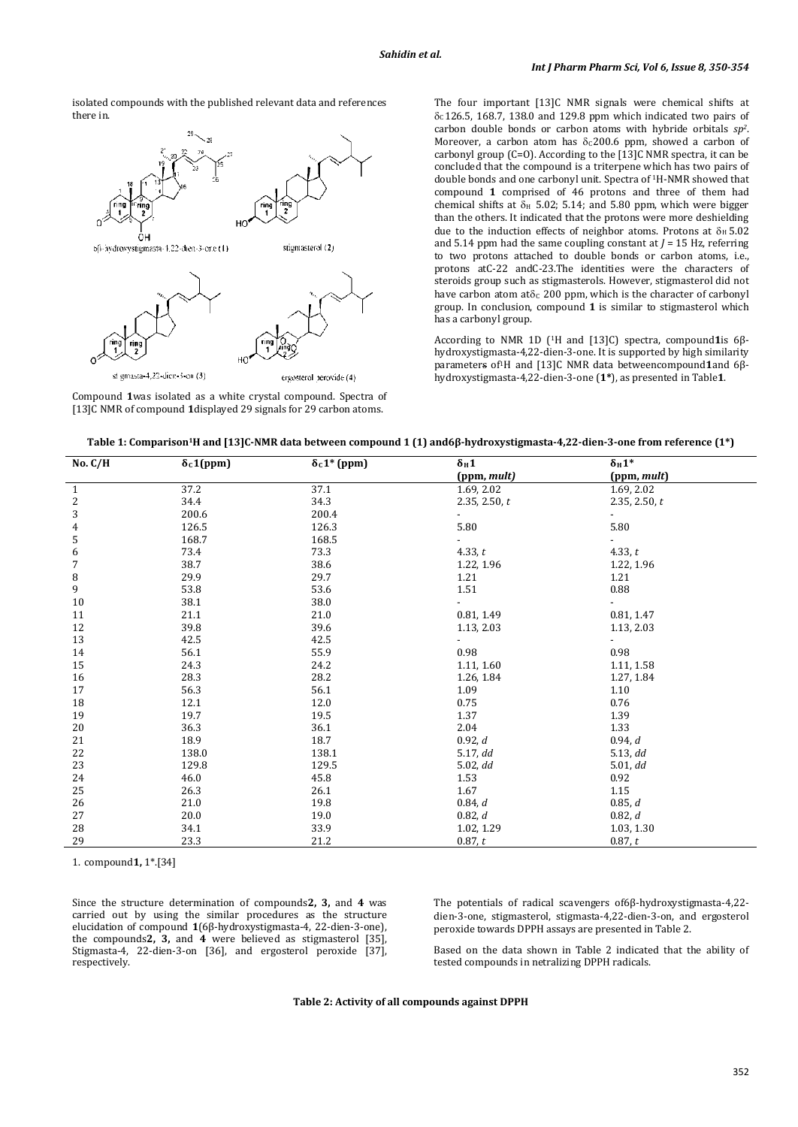isolated compounds with the published relevant data and references there in.



Compound **1**was isolated as a white crystal compound. Spectra of [13]C NMR of compound **1**displayed 29 signals for 29 carbon atoms.

The four important [13]C NMR signals were chemical shifts at  $\delta$ c126.5, 168.7, 138.0 and 129.8 ppm which indicated two pairs of carbon double bonds or carbon atoms with hybride orbitals *sp2*. Moreover, a carbon atom has  $\delta$ <sub>C</sub>200.6 ppm, showed a carbon of carbonyl group (C=O). According to the  $\overline{13}$ C NMR spectra, it can be concluded that the compound is a triterpene which has two pairs of double bonds and one carbonyl unit. Spectra of 1H-NMR showed that compound **1** comprised of 46 protons and three of them had chemical shifts at  $\delta$ <sub>H</sub> 5.02; 5.14; and 5.80 ppm, which were bigger than the others. It indicated that the protons were more deshielding due to the induction effects of neighbor atoms. Protons at  $\delta_H$  5.02 and 5.14 ppm had the same coupling constant at  $J = 15$  Hz, referring to two protons attached to double bonds or carbon atoms, i.e., protons atC-22 andC-23.The identities were the characters of steroids group such as stigmasterols. However, stigmasterol did not have carbon atom at $\delta_c$  200 ppm, which is the character of carbonyl group. In conclusion, compound **1** is similar to stigmasterol which has a carbonyl group.

According to NMR 1D ( 1H and [13]C) spectra, compound**1**is 6βhydroxystigmasta-4,22-dien-3-one. It is supported by high similarity parameters of1H and [13]C NMR data betweencompound**1**and 6βhydroxystigmasta-4,22-dien-3-one (**1\***), as presented in Table**1**.

|  |  | Table 1: Comparison1H and [13]C-NMR data between compound 1 (1) and6β-hydroxystigmasta-4,22-dien-3-one from reference (1*) |
|--|--|----------------------------------------------------------------------------------------------------------------------------|
|  |  |                                                                                                                            |

| No. C/H                 | $\delta_c 1$ (ppm) | $\overline{\delta_{c}1^{*}}$ (ppm) | $\delta_H 1$  | $\delta_H 1^*$ |  |
|-------------------------|--------------------|------------------------------------|---------------|----------------|--|
|                         |                    |                                    | (ppm, mult)   | (ppm, mult)    |  |
| $\mathbf{1}$            | 37.2               | 37.1                               | 1.69, 2.02    | 1.69, 2.02     |  |
| $\frac{2}{3}$           | 34.4               | 34.3                               | 2.35, 2.50, t | 2.35, 2.50, t  |  |
|                         | 200.6              | 200.4                              |               |                |  |
| $\overline{\mathbf{4}}$ | 126.5              | 126.3                              | 5.80          | 5.80           |  |
| 5                       | 168.7              | 168.5                              |               |                |  |
| $\boldsymbol{6}$        | 73.4               | 73.3                               | 4.33, $t$     | 4.33, $t$      |  |
| $\sqrt{ }$              | 38.7               | 38.6                               | 1.22, 1.96    | 1.22, 1.96     |  |
| $\, 8$                  | 29.9               | 29.7                               | 1.21          | 1.21           |  |
| 9                       | 53.8               | 53.6                               | 1.51          | 0.88           |  |
| 10                      | 38.1               | 38.0                               |               |                |  |
| 11                      | 21.1               | 21.0                               | 0.81, 1.49    | 0.81, 1.47     |  |
| 12                      | 39.8               | 39.6                               | 1.13, 2.03    | 1.13, 2.03     |  |
| 13                      | 42.5               | 42.5                               |               |                |  |
| 14                      | 56.1               | 55.9                               | 0.98          | 0.98           |  |
| 15                      | 24.3               | 24.2                               | 1.11, 1.60    | 1.11, 1.58     |  |
| 16                      | 28.3               | 28.2                               | 1.26, 1.84    | 1.27, 1.84     |  |
| 17                      | 56.3               | 56.1                               | 1.09          | 1.10           |  |
| 18                      | 12.1               | 12.0                               | 0.75          | 0.76           |  |
| 19                      | 19.7               | 19.5                               | 1.37          | 1.39           |  |
| 20                      | 36.3               | 36.1                               | 2.04          | 1.33           |  |
| 21                      | 18.9               | 18.7                               | 0.92, d       | 0.94, d        |  |
| 22                      | 138.0              | 138.1                              | 5.17, dd      | 5.13, dd       |  |
| 23                      | 129.8              | 129.5                              | 5.02, dd      | 5.01, dd       |  |
| 24                      | 46.0               | 45.8                               | 1.53          | 0.92           |  |
| 25                      | 26.3               | 26.1                               | 1.67          | 1.15           |  |
| 26                      | 21.0               | 19.8                               | 0.84, d       | 0.85, d        |  |
| 27                      | 20.0               | 19.0                               | 0.82, d       | 0.82, d        |  |
| 28                      | 34.1               | 33.9                               | 1.02, 1.29    | 1.03, 1.30     |  |
| 29                      | 23.3               | 21.2                               | 0.87, t       | 0.87, t        |  |

1. compound**1,** 1\*.[34]

Since the structure determination of compounds**2, 3,** and **4** was carried out by using the similar procedures as the structure elucidation of compound **1**(6β-hydroxystigmasta-4, 22-dien-3-one), the compounds**2, 3,** and **4** were believed as stigmasterol [35], Stigmasta-4, 22-dien-3-on [36], and ergosterol peroxide [37], respectively.

The potentials of radical scavengers of6β-hydroxystigmasta-4,22 dien-3-one, stigmasterol, stigmasta-4,22-dien-3-on, and ergosterol peroxide towards DPPH assays are presented in Table 2.

Based on the data shown in Table 2 indicated that the ability of tested compounds in netralizing DPPH radicals.

**Table 2: Activity of all compounds against DPPH**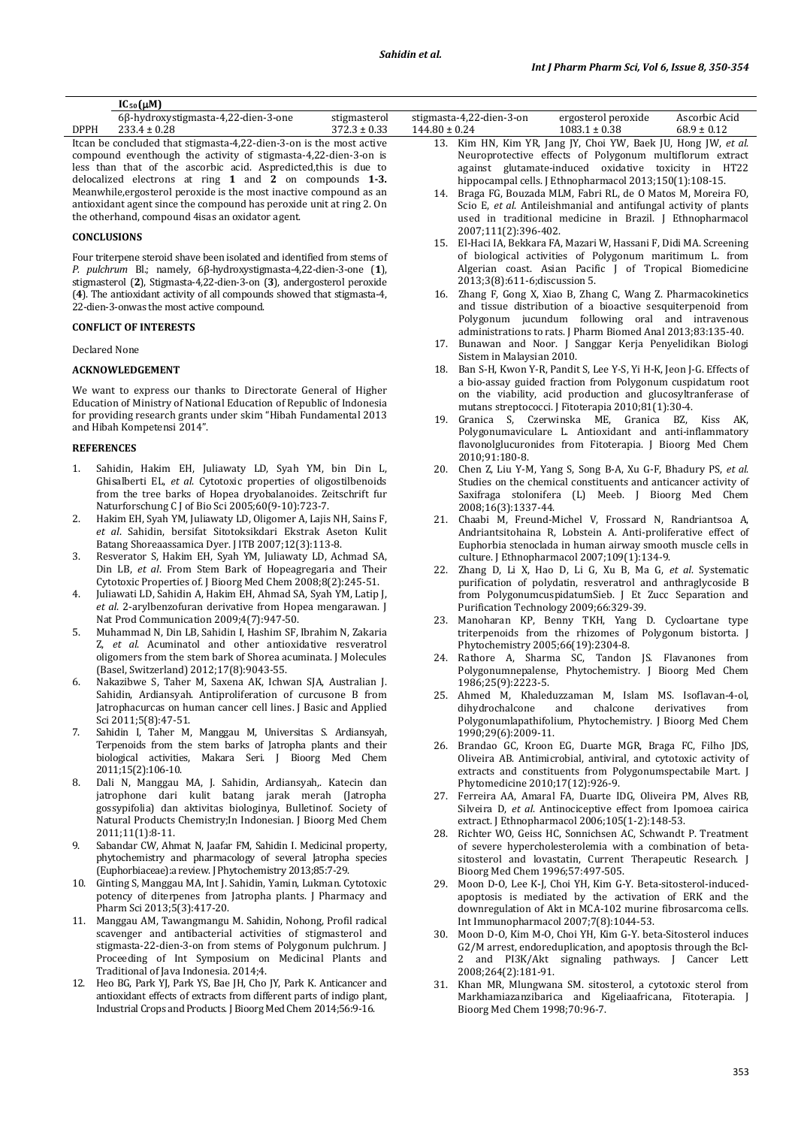|             | $IC_{50}(\mu M)$                                                     |                  |                          |                                                                |                 |
|-------------|----------------------------------------------------------------------|------------------|--------------------------|----------------------------------------------------------------|-----------------|
|             | 6β-hydroxystigmasta-4,22-dien-3-one                                  | stigmasterol     | stigmasta-4,22-dien-3-on | ergosterol peroxide                                            | Ascorbic Acid   |
| <b>DPPH</b> | $233.4 \pm 0.28$                                                     | $372.3 \pm 0.33$ | $144.80 \pm 0.24$        | $1083.1 \pm 0.38$                                              | $68.9 \pm 0.12$ |
|             | It can be concluded that stigmasta-4,22-dien-3-on is the most active |                  |                          | 13. Kim HN, Kim YR, Jang JY, Choi YW, Baek JU, Hong JW, et al. |                 |

compound eventhough the activity of stigmasta-4,22-dien-3-on is less than that of the ascorbic acid. Aspredicted,this is due to delocalized electrons at ring **1** and **2** on compounds **1-3.**  Meanwhile,ergosterol peroxide is the most inactive compound as an antioxidant agent since the compound has peroxide unit at ring 2. On the otherhand, compound 4isas an oxidator agent.

### **CONCLUSIONS**

Four triterpene steroid shave been isolated and identified from stems of *P. pulchrum* Bl.; namely, 6β-hydroxystigmasta-4,22-dien-3-one (**1**), stigmasterol (**2**), Stigmasta-4,22-dien-3-on (**3**), andergosterol peroxide (**4**). The antioxidant activity of all compounds showed that stigmasta-4, 22-dien-3-onwas the most active compound.

# **CONFLICT OF INTERESTS**

#### Declared None

#### **ACKNOWLEDGEMENT**

We want to express our thanks to Directorate General of Higher Education of Ministry of National Education of Republic of Indonesia for providing research grants under skim "Hibah Fundamental 2013 and Hibah Kompetensi 2014".

# **REFERENCES**

- 1. Sahidin, Hakim EH, Juliawaty LD, Syah YM, bin Din L, Ghisalberti EL, *et al*. Cytotoxic properties of oligostilbenoids from the tree barks of Hopea dryobalanoides. Zeitschrift fur Naturforschung C J of Bio Sci 2005;60(9-10):723-7.
- 2. Hakim EH, Syah YM, Juliawaty LD, Oligomer A, Lajis NH, Sains F, *et al*. Sahidin, bersifat Sitotoksikdari Ekstrak Aseton Kulit Batang Shoreaassamica Dyer. J ITB 2007;12(3):113-8.
- 3. Resverator S, Hakim EH, Syah YM, Juliawaty LD, Achmad SA, Din LB, *et al*. From Stem Bark of Hopeagregaria and Their Cytotoxic Properties of. J Bioorg Med Chem 2008;8(2):245-51.
- 4. Juliawati LD, Sahidin A, Hakim EH, Ahmad SA, Syah YM, Latip J, *et al*. 2-arylbenzofuran derivative from Hopea mengarawan. J Nat Prod Communication 2009;4(7):947-50.
- 5. Muhammad N, Din LB, Sahidin I, Hashim SF, Ibrahim N, Zakaria Z, *et al*. Acuminatol and other antioxidative resveratrol oligomers from the stem bark of Shorea acuminata. J Molecules (Basel, Switzerland) 2012;17(8):9043-55.
- 6. Nakazibwe S, Taher M, Saxena AK, Ichwan SJA, Australian J. Sahidin, Ardiansyah. Antiproliferation of curcusone B from Jatrophacurcas on human cancer cell lines. J Basic and Applied Sci 2011;5(8):47-51.
- 7. Sahidin I, Taher M, Manggau M, Universitas S. Ardiansyah, Terpenoids from the stem barks of Jatropha plants and their biological activities, Makara Seri. J Bioorg Med Chem 2011;15(2):106-10.
- 8. Dali N, Manggau MA, J. Sahidin, Ardiansyah,. Katecin dan jatrophone dari kulit batang jarak merah (Jatropha gossypifolia) dan aktivitas biologinya, Bulletinof. Society of Natural Products Chemistry;In Indonesian. J Bioorg Med Chem 2011;11(1):8-11.
- 9. Sabandar CW, Ahmat N, Jaafar FM, Sahidin I. Medicinal property, phytochemistry and pharmacology of several Jatropha species (Euphorbiaceae):a review. J Phytochemistry 2013;85:7-29.
- 10. Ginting S, Manggau MA, Int J. Sahidin, Yamin, Lukman. Cytotoxic potency of diterpenes from Jatropha plants. J Pharmacy and Pharm Sci 2013;5(3):417-20.
- 11. Manggau AM, Tawangmangu M. Sahidin, Nohong, Profil radical scavenger and antibacterial activities of stigmasterol and stigmasta-22-dien-3-on from stems of Polygonum pulchrum. J Proceeding of Int Symposium on Medicinal Plants and Traditional of Java Indonesia. 2014;4.
- 12. Heo BG, Park YJ, Park YS, Bae JH, Cho JY, Park K. Anticancer and antioxidant effects of extracts from different parts of indigo plant, Industrial Crops and Products. J Bioorg Med Chem 2014;56:9-16.

| 13. Kim HN, Kim YR, Jang JY, Choi YW, Baek JU, Hong JW, et al. |  |  |  |  |  |
|----------------------------------------------------------------|--|--|--|--|--|
| Neuroprotective effects of Polygonum multiflorum extract       |  |  |  |  |  |
| against glutamate-induced oxidative toxicity in HT22           |  |  |  |  |  |
| hippocampal cells. J Ethnopharmacol 2013;150(1):108-15.        |  |  |  |  |  |
|                                                                |  |  |  |  |  |

- 14. Braga FG, Bouzada MLM, Fabri RL, de O Matos M, Moreira FO, Scio E, *et al*. Antileishmanial and antifungal activity of plants used in traditional medicine in Brazil. J Ethnopharmacol 2007;111(2):396-402.
- 15. El-Haci IA, Bekkara FA, Mazari W, Hassani F, Didi MA. Screening of biological activities of Polygonum maritimum L. from Algerian coast. Asian Pacific J of Tropical Biomedicine 2013;3(8):611-6;discussion 5.
- 16. Zhang F, Gong X, Xiao B, Zhang C, Wang Z. Pharmacokinetics and tissue distribution of a bioactive sesquiterpenoid from Polygonum jucundum following oral and intravenous administrations to rats. J Pharm Biomed Anal 2013;83:135-40.
- 17. Bunawan and Noor. J Sanggar Kerja Penyelidikan Biologi Sistem in Malaysian 2010.
- 18. Ban S-H, Kwon Y-R, Pandit S, Lee Y-S, Yi H-K, Jeon J-G. Effects of a bio-assay guided fraction from Polygonum cuspidatum root on the viability, acid production and glucosyltranferase of mutans streptococci. J Fitoterapia 2010;81(1):30-4.
- 19. Granica S, Czerwinska ME, Granica BZ, Kiss AK, Polygonumaviculare L. Antioxidant and anti-inflammatory flavonolglucuronides from Fitoterapia. J Bioorg Med Chem 2010;91:180-8.
- 20. Chen Z, Liu Y-M, Yang S, Song B-A, Xu G-F, Bhadury PS, *et al*. Studies on the chemical constituents and anticancer activity of Saxifraga stolonifera (L) Meeb. J Bioorg Med Chem 2008;16(3):1337-44.
- 21. Chaabi M, Freund-Michel V, Frossard N, Randriantsoa A, Andriantsitohaina R, Lobstein A. Anti-proliferative effect of Euphorbia stenoclada in human airway smooth muscle cells in culture. J Ethnopharmacol 2007;109(1):134-9.
- 22. Zhang D, Li X, Hao D, Li G, Xu B, Ma G, *et al*. Systematic purification of polydatin, resveratrol and anthraglycoside B from PolygonumcuspidatumSieb. J Et Zucc Separation and Purification Technology 2009;66:329-39.
- 23. Manoharan KP, Benny TKH, Yang D. Cycloartane type triterpenoids from the rhizomes of Polygonum bistorta. J Phytochemistry 2005;66(19):2304-8.
- 24. Rathore A, Sharma SC, Tandon JS. Flavanones from Polygonumnepalense, Phytochemistry. J Bioorg Med Chem 1986;25(9):2223-5.
- 25. Ahmed M, Khaleduzzaman M, Islam MS. Isoflavan-4-ol, dihydrochalcone and chalcone derivatives from dihydrochalcone and chalcone derivatives from Polygonumlapathifolium, Phytochemistry. J Bioorg Med Chem 1990;29(6):2009-11.
- 26. Brandao GC, Kroon EG, Duarte MGR, Braga FC, Filho JDS, Oliveira AB. Antimicrobial, antiviral, and cytotoxic activity of extracts and constituents from Polygonumspectabile Mart. J Phytomedicine 2010;17(12):926-9.
- 27. Ferreira AA, Amaral FA, Duarte IDG, Oliveira PM, Alves RB, Silveira D, *et al*. Antinociceptive effect from Ipomoea cairica extract. J Ethnopharmacol 2006;105(1-2):148-53.
- 28. Richter WO, Geiss HC, Sonnichsen AC, Schwandt P. Treatment of severe hypercholesterolemia with a combination of betasitosterol and lovastatin, Current Therapeutic Research. J Bioorg Med Chem 1996;57:497-505.
- 29. Moon D-O, Lee K-J, Choi YH, Kim G-Y. Beta-sitosterol-inducedapoptosis is mediated by the activation of ERK and the downregulation of Akt in MCA-102 murine fibrosarcoma cells. Int Immunopharmacol 2007;7(8):1044-53.
- 30. Moon D-O, Kim M-O, Choi YH, Kim G-Y. beta-Sitosterol induces G2/M arrest, endoreduplication, and apoptosis through the Bcl-2 and PI3K/Akt signaling pathways. J Cancer Lett 2008;264(2):181-91.
- 31. Khan MR, Mlungwana SM. sitosterol, a cytotoxic sterol from Markhamiazanzibarica and Kigeliaafricana, Fitoterapia. J Bioorg Med Chem 1998;70:96-7.